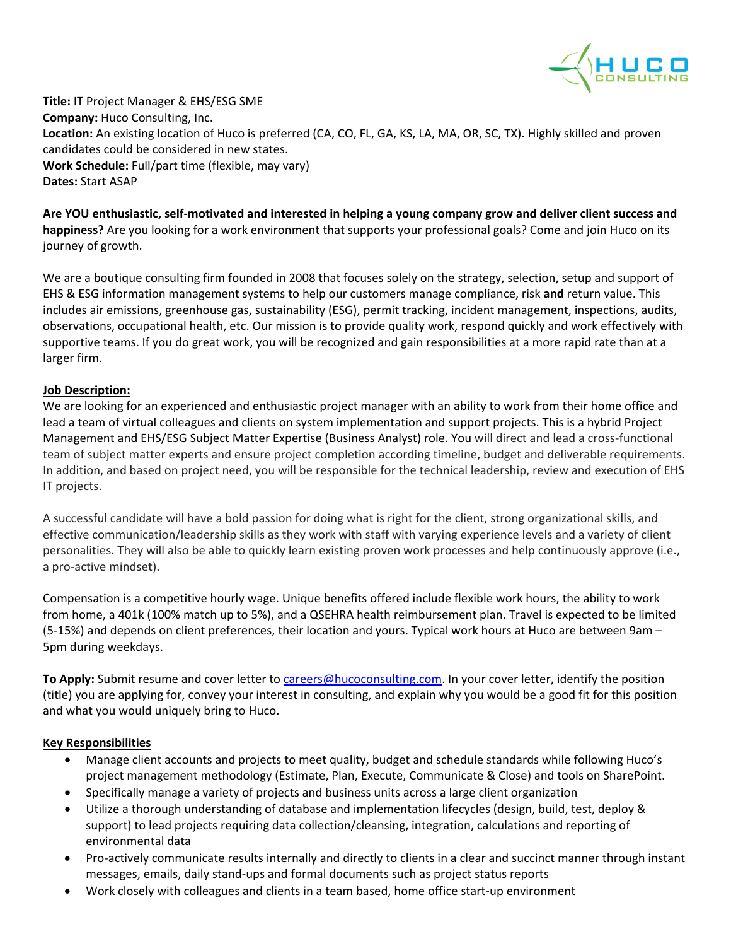

**Title:** IT Project Manager & EHS/ESG SME **Company:** Huco Consulting, Inc. **Location:** An existing location of Huco is preferred (CA, CO, FL, GA, KS, LA, MA, OR, SC, TX). Highly skilled and proven candidates could be considered in new states. **Work Schedule:** Full/part time (flexible, may vary) **Dates:** Start ASAP

**Are YOU enthusiastic, self-motivated and interested in helping a young company grow and deliver client success and happiness?** Are you looking for a work environment that supports your professional goals? Come and join Huco on its journey of growth.

We are a boutique consulting firm founded in 2008 that focuses solely on the strategy, selection, setup and support of EHS & ESG information management systems to help our customers manage compliance, risk **and** return value. This includes air emissions, greenhouse gas, sustainability (ESG), permit tracking, incident management, inspections, audits, observations, occupational health, etc. Our mission is to provide quality work, respond quickly and work effectively with supportive teams. If you do great work, you will be recognized and gain responsibilities at a more rapid rate than at a larger firm.

## **Job Description:**

We are looking for an experienced and enthusiastic project manager with an ability to work from their home office and lead a team of virtual colleagues and clients on system implementation and support projects. This is a hybrid Project Management and EHS/ESG Subject Matter Expertise (Business Analyst) role. You will direct and lead a cross-functional team of subject matter experts and ensure project completion according timeline, budget and deliverable requirements. In addition, and based on project need, you will be responsible for the technical leadership, review and execution of EHS IT projects.

A successful candidate will have a bold passion for doing what is right for the client, strong organizational skills, and effective communication/leadership skills as they work with staff with varying experience levels and a variety of client personalities. They will also be able to quickly learn existing proven work processes and help continuously approve (i.e., a pro-active mindset).

Compensation is a competitive hourly wage. Unique benefits offered include flexible work hours, the ability to work from home, a 401k (100% match up to 5%), and a QSEHRA health reimbursement plan. Travel is expected to be limited (5-15%) and depends on client preferences, their location and yours. Typical work hours at Huco are between 9am – 5pm during weekdays.

**To Apply:** Submit resume and cover letter t[o careers@hucoconsulting.com.](mailto:careers@hucoconsulting.com) In your cover letter, identify the position (title) you are applying for, convey your interest in consulting, and explain why you would be a good fit for this position and what you would uniquely bring to Huco.

## **Key Responsibilities**

- Manage client accounts and projects to meet quality, budget and schedule standards while following Huco's project management methodology (Estimate, Plan, Execute, Communicate & Close) and tools on SharePoint.
- Specifically manage a variety of projects and business units across a large client organization
- Utilize a thorough understanding of database and implementation lifecycles (design, build, test, deploy & support) to lead projects requiring data collection/cleansing, integration, calculations and reporting of environmental data
- Pro-actively communicate results internally and directly to clients in a clear and succinct manner through instant messages, emails, daily stand-ups and formal documents such as project status reports
- Work closely with colleagues and clients in a team based, home office start-up environment